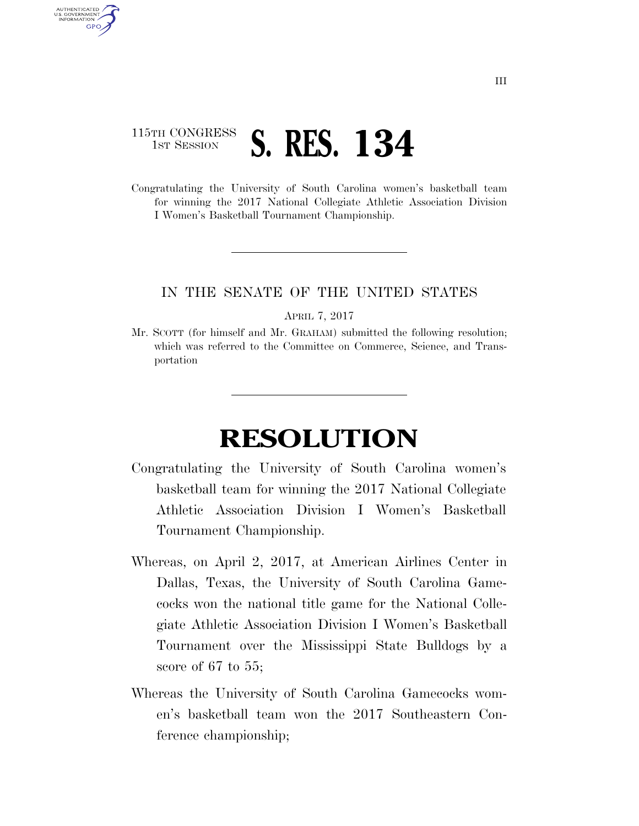## 115TH CONGRESS **1ST SESSION S. RES. 134**

AUTHENTICATED U.S. GOVERNMENT GPO

> Congratulating the University of South Carolina women's basketball team for winning the 2017 National Collegiate Athletic Association Division I Women's Basketball Tournament Championship.

## IN THE SENATE OF THE UNITED STATES

APRIL 7, 2017

Mr. SCOTT (for himself and Mr. GRAHAM) submitted the following resolution; which was referred to the Committee on Commerce, Science, and Transportation

## **RESOLUTION**

- Congratulating the University of South Carolina women's basketball team for winning the 2017 National Collegiate Athletic Association Division I Women's Basketball Tournament Championship.
- Whereas, on April 2, 2017, at American Airlines Center in Dallas, Texas, the University of South Carolina Gamecocks won the national title game for the National Collegiate Athletic Association Division I Women's Basketball Tournament over the Mississippi State Bulldogs by a score of 67 to 55;
- Whereas the University of South Carolina Gamecocks women's basketball team won the 2017 Southeastern Conference championship;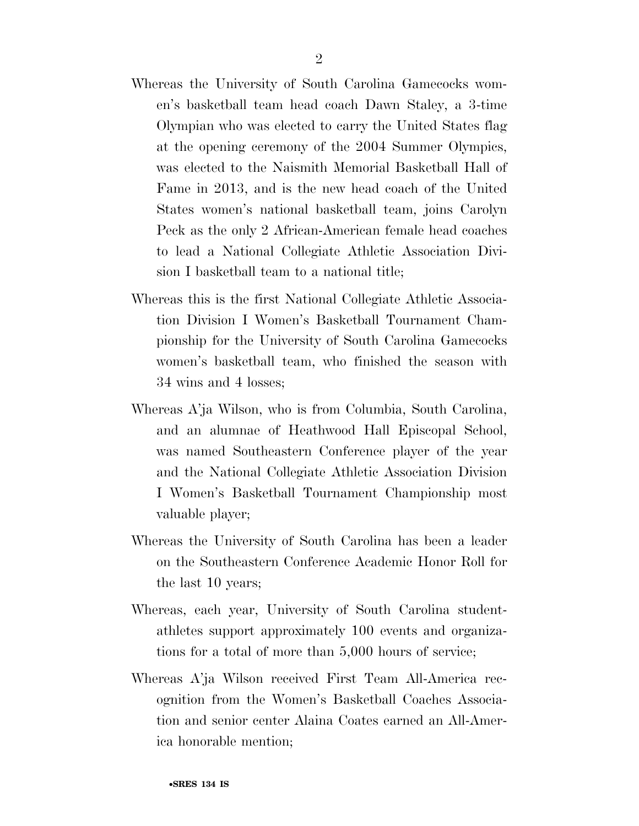- Whereas the University of South Carolina Gamecocks women's basketball team head coach Dawn Staley, a 3-time Olympian who was elected to carry the United States flag at the opening ceremony of the 2004 Summer Olympics, was elected to the Naismith Memorial Basketball Hall of Fame in 2013, and is the new head coach of the United States women's national basketball team, joins Carolyn Peck as the only 2 African-American female head coaches to lead a National Collegiate Athletic Association Division I basketball team to a national title;
- Whereas this is the first National Collegiate Athletic Association Division I Women's Basketball Tournament Championship for the University of South Carolina Gamecocks women's basketball team, who finished the season with 34 wins and 4 losses;
- Whereas A'ja Wilson, who is from Columbia, South Carolina, and an alumnae of Heathwood Hall Episcopal School, was named Southeastern Conference player of the year and the National Collegiate Athletic Association Division I Women's Basketball Tournament Championship most valuable player;
- Whereas the University of South Carolina has been a leader on the Southeastern Conference Academic Honor Roll for the last 10 years;
- Whereas, each year, University of South Carolina studentathletes support approximately 100 events and organizations for a total of more than 5,000 hours of service;
- Whereas A'ja Wilson received First Team All-America recognition from the Women's Basketball Coaches Association and senior center Alaina Coates earned an All-America honorable mention;